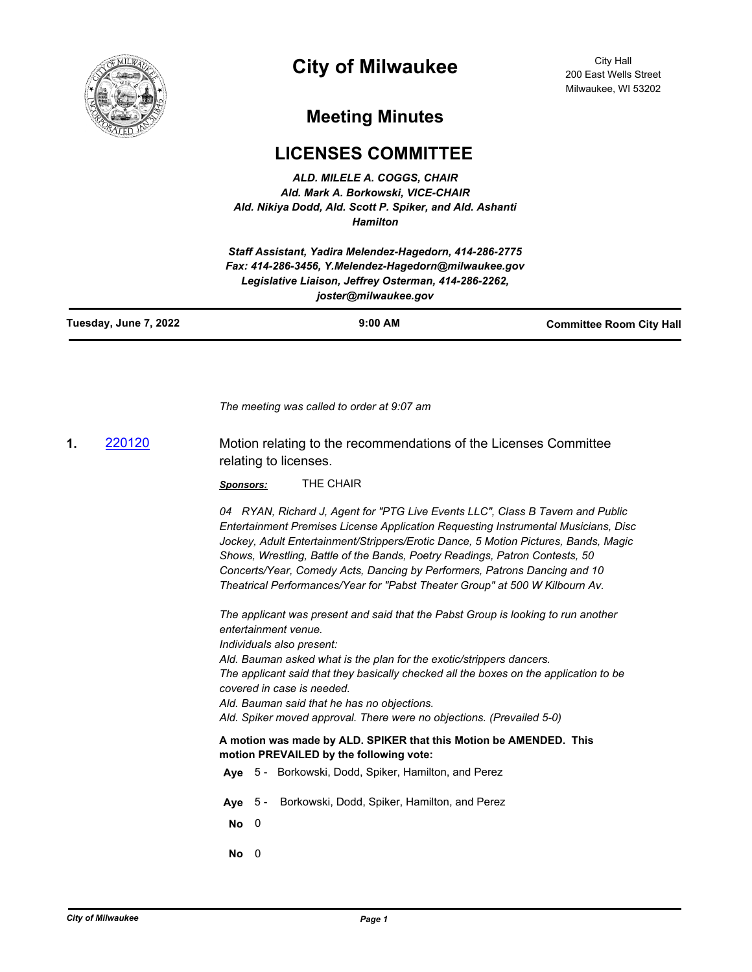

# **City of Milwaukee**

City Hall 200 East Wells Street Milwaukee, WI 53202

## **Meeting Minutes**

## **LICENSES COMMITTEE**

*ALD. MILELE A. COGGS, CHAIR Ald. Mark A. Borkowski, VICE-CHAIR Ald. Nikiya Dodd, Ald. Scott P. Spiker, and Ald. Ashanti Hamilton*

*Staff Assistant, Yadira Melendez-Hagedorn, 414-286-2775 Fax: 414-286-3456, Y.Melendez-Hagedorn@milwaukee.gov Legislative Liaison, Jeffrey Osterman, 414-286-2262, joster@milwaukee.gov*

| Tuesday, June 7, 2022 | $9:00$ AM | <b>Committee Room City Hall</b> |
|-----------------------|-----------|---------------------------------|
|                       |           |                                 |

*The meeting was called to order at 9:07 am*

**1.** [220120](http://milwaukee.legistar.com/gateway.aspx?m=l&id=/matter.aspx?key=62171) Motion relating to the recommendations of the Licenses Committee relating to licenses.

*Sponsors:* THE CHAIR

*04 RYAN, Richard J, Agent for "PTG Live Events LLC", Class B Tavern and Public Entertainment Premises License Application Requesting Instrumental Musicians, Disc Jockey, Adult Entertainment/Strippers/Erotic Dance, 5 Motion Pictures, Bands, Magic Shows, Wrestling, Battle of the Bands, Poetry Readings, Patron Contests, 50 Concerts/Year, Comedy Acts, Dancing by Performers, Patrons Dancing and 10 Theatrical Performances/Year for "Pabst Theater Group" at 500 W Kilbourn Av.*

*The applicant was present and said that the Pabst Group is looking to run another entertainment venue. Individuals also present: Ald. Bauman asked what is the plan for the exotic/strippers dancers. The applicant said that they basically checked all the boxes on the application to be covered in case is needed. Ald. Bauman said that he has no objections. Ald. Spiker moved approval. There were no objections. (Prevailed 5-0)* **A motion was made by ALD. SPIKER that this Motion be AMENDED. This motion PREVAILED by the following vote: Aye** 5 - Borkowski, Dodd, Spiker, Hamilton, and Perez **Aye** 5 - Borkowski, Dodd, Spiker, Hamilton, and Perez

**No** 0

**No** 0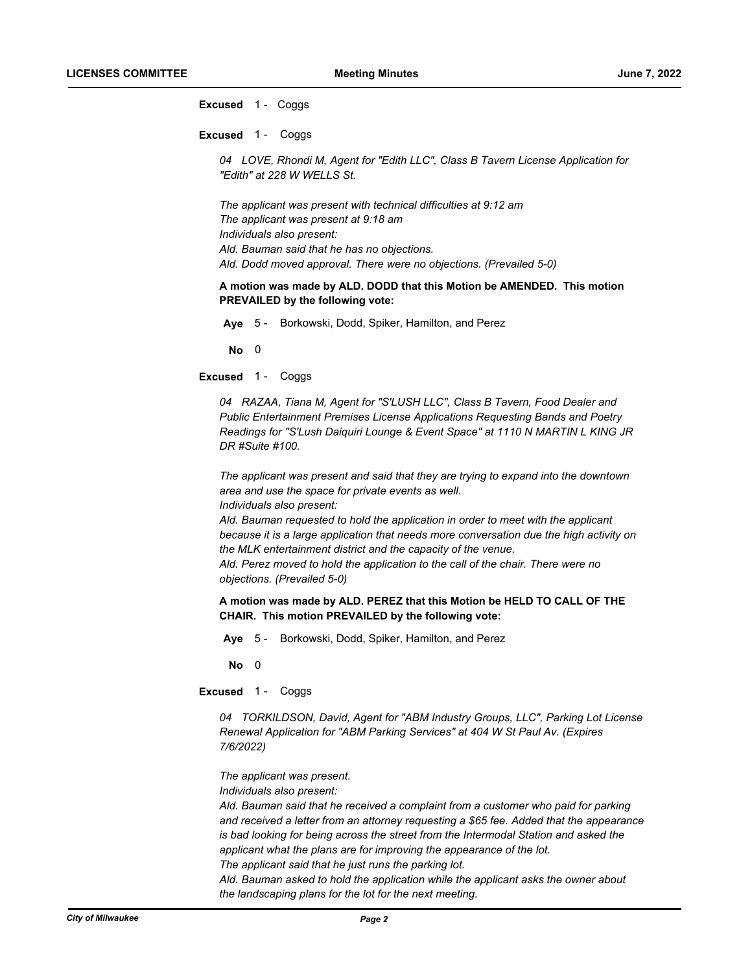**Excused** 1 - Coggs

**Excused** 1 - Coggs

*04 LOVE, Rhondi M, Agent for "Edith LLC", Class B Tavern License Application for "Edith" at 228 W WELLS St.*

*The applicant was present with technical difficulties at 9:12 am The applicant was present at 9:18 am Individuals also present: Ald. Bauman said that he has no objections. Ald. Dodd moved approval. There were no objections. (Prevailed 5-0)*

**A motion was made by ALD. DODD that this Motion be AMENDED. This motion PREVAILED by the following vote:**

**Aye** 5 - Borkowski, Dodd, Spiker, Hamilton, and Perez

**No** 0

**Excused** 1 - Coggs

*04 RAZAA, Tiana M, Agent for "S'LUSH LLC", Class B Tavern, Food Dealer and Public Entertainment Premises License Applications Requesting Bands and Poetry Readings for "S'Lush Daiquiri Lounge & Event Space" at 1110 N MARTIN L KING JR DR #Suite #100.*

*The applicant was present and said that they are trying to expand into the downtown area and use the space for private events as well. Individuals also present:*

*Ald. Bauman requested to hold the application in order to meet with the applicant because it is a large application that needs more conversation due the high activity on the MLK entertainment district and the capacity of the venue.*

*Ald. Perez moved to hold the application to the call of the chair. There were no objections. (Prevailed 5-0)*

**A motion was made by ALD. PEREZ that this Motion be HELD TO CALL OF THE CHAIR. This motion PREVAILED by the following vote:**

**Aye** 5 - Borkowski, Dodd, Spiker, Hamilton, and Perez

**No** 0

**Excused** 1 - Coggs

*04 TORKILDSON, David, Agent for "ABM Industry Groups, LLC", Parking Lot License Renewal Application for "ABM Parking Services" at 404 W St Paul Av. (Expires 7/6/2022)*

*The applicant was present.*

*Individuals also present:*

*Ald. Bauman said that he received a complaint from a customer who paid for parking and received a letter from an attorney requesting a \$65 fee. Added that the appearance is bad looking for being across the street from the Intermodal Station and asked the applicant what the plans are for improving the appearance of the lot. The applicant said that he just runs the parking lot.*

*Ald. Bauman asked to hold the application while the applicant asks the owner about* 

*the landscaping plans for the lot for the next meeting.*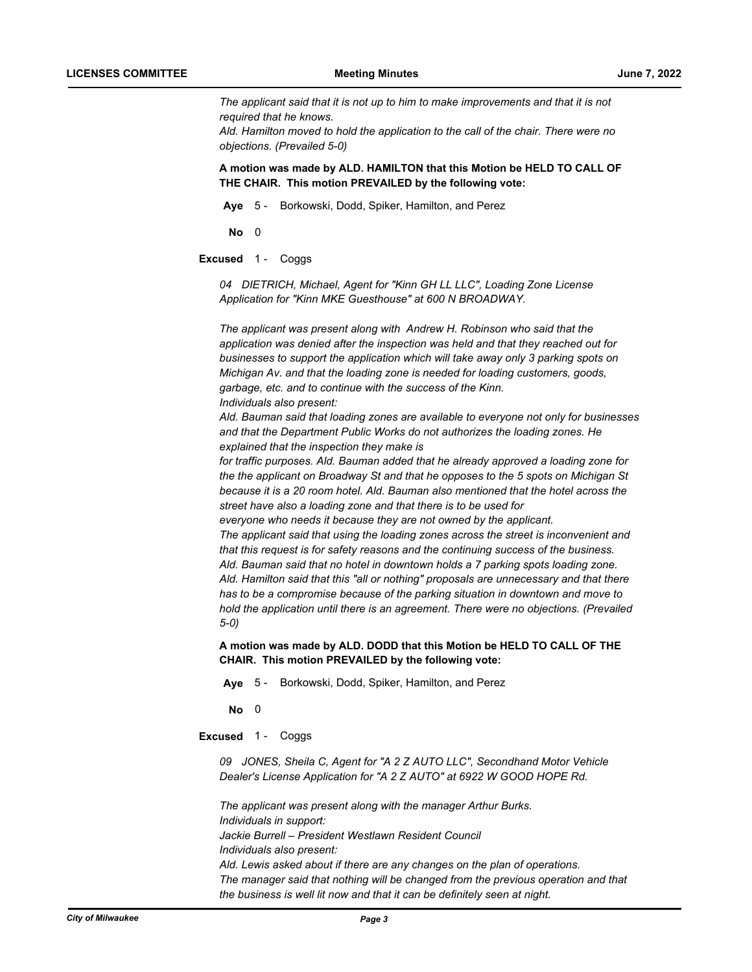*The applicant said that it is not up to him to make improvements and that it is not required that he knows. Ald. Hamilton moved to hold the application to the call of the chair. There were no objections. (Prevailed 5-0)*

## **A motion was made by ALD. HAMILTON that this Motion be HELD TO CALL OF THE CHAIR. This motion PREVAILED by the following vote:**

**Aye** 5 - Borkowski, Dodd, Spiker, Hamilton, and Perez

**No** 0

**Excused** 1 - Coggs

*04 DIETRICH, Michael, Agent for "Kinn GH LL LLC", Loading Zone License Application for "Kinn MKE Guesthouse" at 600 N BROADWAY.*

*The applicant was present along with Andrew H. Robinson who said that the application was denied after the inspection was held and that they reached out for businesses to support the application which will take away only 3 parking spots on Michigan Av. and that the loading zone is needed for loading customers, goods, garbage, etc. and to continue with the success of the Kinn. Individuals also present:*

*Ald. Bauman said that loading zones are available to everyone not only for businesses and that the Department Public Works do not authorizes the loading zones. He explained that the inspection they make is* 

*for traffic purposes. Ald. Bauman added that he already approved a loading zone for the the applicant on Broadway St and that he opposes to the 5 spots on Michigan St because it is a 20 room hotel. Ald. Bauman also mentioned that the hotel across the street have also a loading zone and that there is to be used for* 

*everyone who needs it because they are not owned by the applicant. The applicant said that using the loading zones across the street is inconvenient and that this request is for safety reasons and the continuing success of the business. Ald. Bauman said that no hotel in downtown holds a 7 parking spots loading zone. Ald. Hamilton said that this "all or nothing" proposals are unnecessary and that there has to be a compromise because of the parking situation in downtown and move to hold the application until there is an agreement. There were no objections. (Prevailed 5-0)*

**A motion was made by ALD. DODD that this Motion be HELD TO CALL OF THE CHAIR. This motion PREVAILED by the following vote:**

**Aye** 5 - Borkowski, Dodd, Spiker, Hamilton, and Perez

**No** 0

**Excused** 1 - Coggs

*09 JONES, Sheila C, Agent for "A 2 Z AUTO LLC", Secondhand Motor Vehicle Dealer's License Application for "A 2 Z AUTO" at 6922 W GOOD HOPE Rd.*

*The applicant was present along with the manager Arthur Burks. Individuals in support: Jackie Burrell – President Westlawn Resident Council Individuals also present: Ald. Lewis asked about if there are any changes on the plan of operations. The manager said that nothing will be changed from the previous operation and that the business is well lit now and that it can be definitely seen at night.*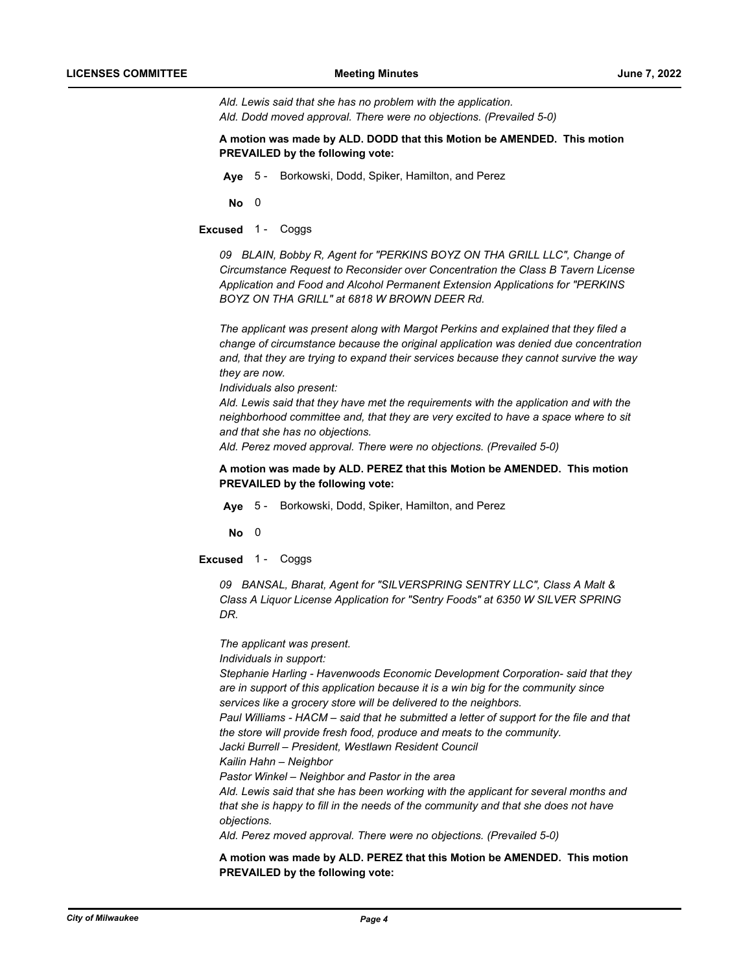*Ald. Lewis said that she has no problem with the application. Ald. Dodd moved approval. There were no objections. (Prevailed 5-0)*

**A motion was made by ALD. DODD that this Motion be AMENDED. This motion PREVAILED by the following vote:**

**Aye** 5 - Borkowski, Dodd, Spiker, Hamilton, and Perez

**No** 0

**Excused** 1 - Coggs

*09 BLAIN, Bobby R, Agent for "PERKINS BOYZ ON THA GRILL LLC", Change of Circumstance Request to Reconsider over Concentration the Class B Tavern License Application and Food and Alcohol Permanent Extension Applications for "PERKINS BOYZ ON THA GRILL" at 6818 W BROWN DEER Rd.*

*The applicant was present along with Margot Perkins and explained that they filed a change of circumstance because the original application was denied due concentration and, that they are trying to expand their services because they cannot survive the way they are now.*

*Individuals also present:*

*Ald. Lewis said that they have met the requirements with the application and with the neighborhood committee and, that they are very excited to have a space where to sit and that she has no objections.*

*Ald. Perez moved approval. There were no objections. (Prevailed 5-0)*

**A motion was made by ALD. PEREZ that this Motion be AMENDED. This motion PREVAILED by the following vote:**

**Aye** 5 - Borkowski, Dodd, Spiker, Hamilton, and Perez

**No** 0

**Excused** 1 - Coggs

*09 BANSAL, Bharat, Agent for "SILVERSPRING SENTRY LLC", Class A Malt & Class A Liquor License Application for "Sentry Foods" at 6350 W SILVER SPRING DR.*

*The applicant was present. Individuals in support: Stephanie Harling - Havenwoods Economic Development Corporation- said that they are in support of this application because it is a win big for the community since services like a grocery store will be delivered to the neighbors. Paul Williams - HACM – said that he submitted a letter of support for the file and that the store will provide fresh food, produce and meats to the community. Jacki Burrell – President, Westlawn Resident Council Kailin Hahn – Neighbor Pastor Winkel – Neighbor and Pastor in the area Ald. Lewis said that she has been working with the applicant for several months and that she is happy to fill in the needs of the community and that she does not have objections. Ald. Perez moved approval. There were no objections. (Prevailed 5-0)*

**A motion was made by ALD. PEREZ that this Motion be AMENDED. This motion PREVAILED by the following vote:**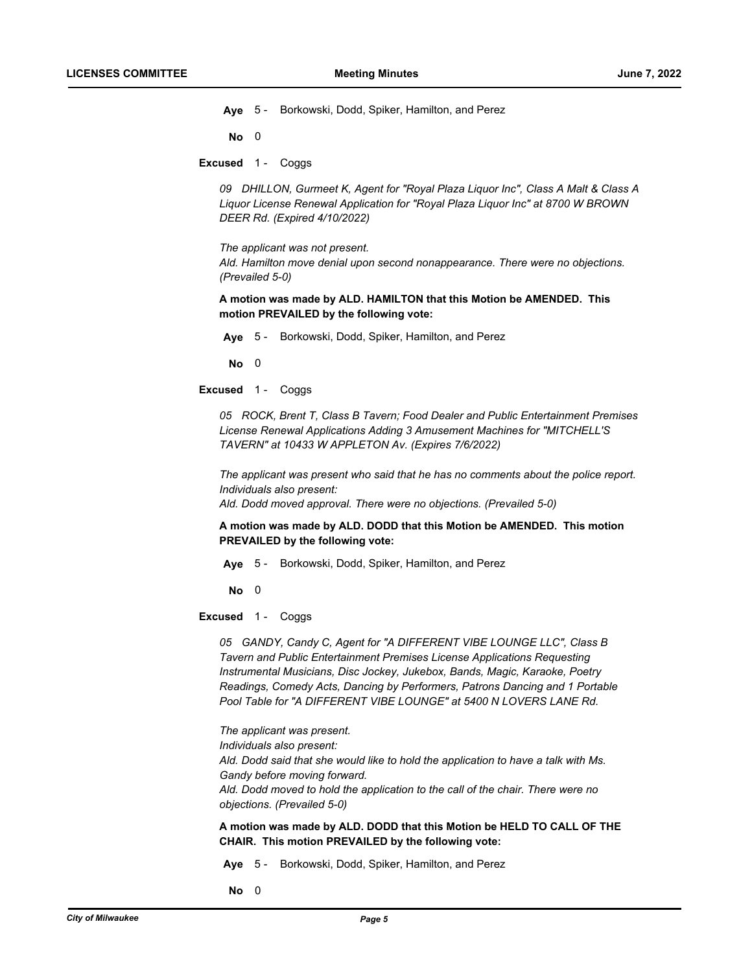**Aye** 5 - Borkowski, Dodd, Spiker, Hamilton, and Perez

**No** 0

**Excused** 1 - Coggs

*09 DHILLON, Gurmeet K, Agent for "Royal Plaza Liquor Inc", Class A Malt & Class A Liquor License Renewal Application for "Royal Plaza Liquor Inc" at 8700 W BROWN DEER Rd. (Expired 4/10/2022)*

*The applicant was not present. Ald. Hamilton move denial upon second nonappearance. There were no objections. (Prevailed 5-0)*

**A motion was made by ALD. HAMILTON that this Motion be AMENDED. This motion PREVAILED by the following vote:**

**Aye** 5 - Borkowski, Dodd, Spiker, Hamilton, and Perez

**No** 0

**Excused** 1 - Coggs

*05 ROCK, Brent T, Class B Tavern; Food Dealer and Public Entertainment Premises License Renewal Applications Adding 3 Amusement Machines for "MITCHELL'S TAVERN" at 10433 W APPLETON Av. (Expires 7/6/2022)*

*The applicant was present who said that he has no comments about the police report. Individuals also present:*

*Ald. Dodd moved approval. There were no objections. (Prevailed 5-0)*

**A motion was made by ALD. DODD that this Motion be AMENDED. This motion PREVAILED by the following vote:**

**Aye** 5 - Borkowski, Dodd, Spiker, Hamilton, and Perez

**No** 0

**Excused** 1 - Coggs

*05 GANDY, Candy C, Agent for "A DIFFERENT VIBE LOUNGE LLC", Class B Tavern and Public Entertainment Premises License Applications Requesting Instrumental Musicians, Disc Jockey, Jukebox, Bands, Magic, Karaoke, Poetry Readings, Comedy Acts, Dancing by Performers, Patrons Dancing and 1 Portable Pool Table for "A DIFFERENT VIBE LOUNGE" at 5400 N LOVERS LANE Rd.*

*The applicant was present. Individuals also present: Ald. Dodd said that she would like to hold the application to have a talk with Ms. Gandy before moving forward. Ald. Dodd moved to hold the application to the call of the chair. There were no objections. (Prevailed 5-0)*

## **A motion was made by ALD. DODD that this Motion be HELD TO CALL OF THE CHAIR. This motion PREVAILED by the following vote:**

**Aye** 5 - Borkowski, Dodd, Spiker, Hamilton, and Perez

**No** 0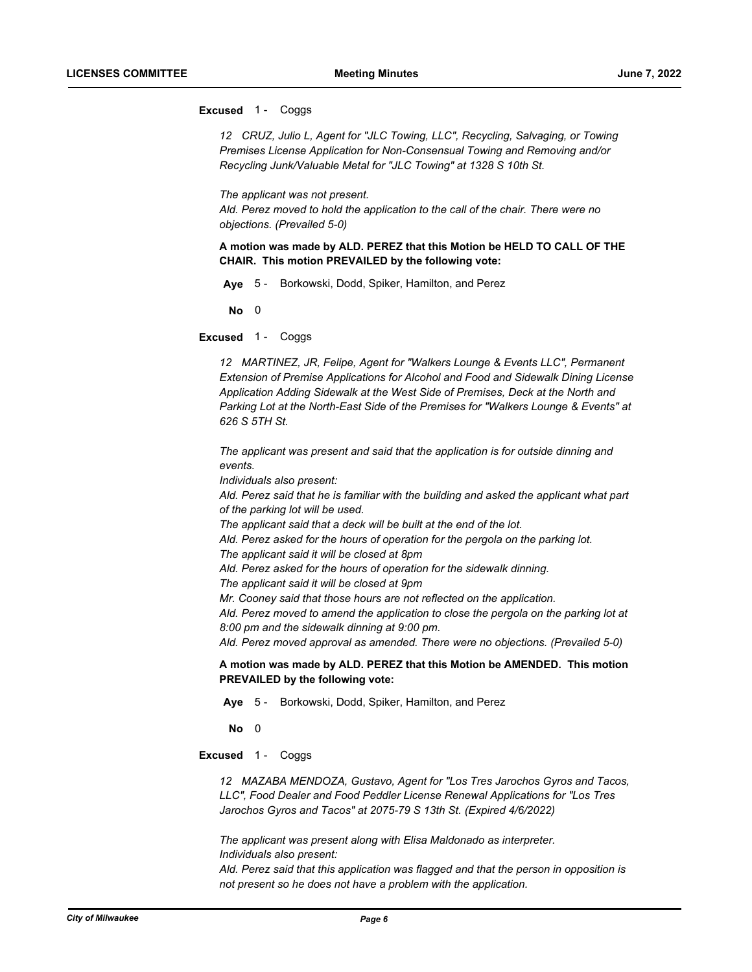### **Excused** 1 - Coggs

*12 CRUZ, Julio L, Agent for "JLC Towing, LLC", Recycling, Salvaging, or Towing Premises License Application for Non-Consensual Towing and Removing and/or Recycling Junk/Valuable Metal for "JLC Towing" at 1328 S 10th St.*

#### *The applicant was not present.*

*Ald. Perez moved to hold the application to the call of the chair. There were no objections. (Prevailed 5-0)*

**A motion was made by ALD. PEREZ that this Motion be HELD TO CALL OF THE CHAIR. This motion PREVAILED by the following vote:**

**Aye** 5 - Borkowski, Dodd, Spiker, Hamilton, and Perez

**No** 0

**Excused** 1 - Coggs

*12 MARTINEZ, JR, Felipe, Agent for "Walkers Lounge & Events LLC", Permanent Extension of Premise Applications for Alcohol and Food and Sidewalk Dining License Application Adding Sidewalk at the West Side of Premises, Deck at the North and Parking Lot at the North-East Side of the Premises for "Walkers Lounge & Events" at 626 S 5TH St.*

*The applicant was present and said that the application is for outside dinning and events.*

*Individuals also present:*

*Ald. Perez said that he is familiar with the building and asked the applicant what part of the parking lot will be used.*

*The applicant said that a deck will be built at the end of the lot.*

*Ald. Perez asked for the hours of operation for the pergola on the parking lot.*

*The applicant said it will be closed at 8pm* 

*Ald. Perez asked for the hours of operation for the sidewalk dinning.*

*The applicant said it will be closed at 9pm*

*Mr. Cooney said that those hours are not reflected on the application.*

*Ald. Perez moved to amend the application to close the pergola on the parking lot at 8:00 pm and the sidewalk dinning at 9:00 pm.*

*Ald. Perez moved approval as amended. There were no objections. (Prevailed 5-0)*

**A motion was made by ALD. PEREZ that this Motion be AMENDED. This motion PREVAILED by the following vote:**

**Aye** 5 - Borkowski, Dodd, Spiker, Hamilton, and Perez

**No** 0

**Excused** 1 - Coggs

*12 MAZABA MENDOZA, Gustavo, Agent for "Los Tres Jarochos Gyros and Tacos, LLC", Food Dealer and Food Peddler License Renewal Applications for "Los Tres Jarochos Gyros and Tacos" at 2075-79 S 13th St. (Expired 4/6/2022)*

*The applicant was present along with Elisa Maldonado as interpreter. Individuals also present:*

*Ald. Perez said that this application was flagged and that the person in opposition is not present so he does not have a problem with the application.*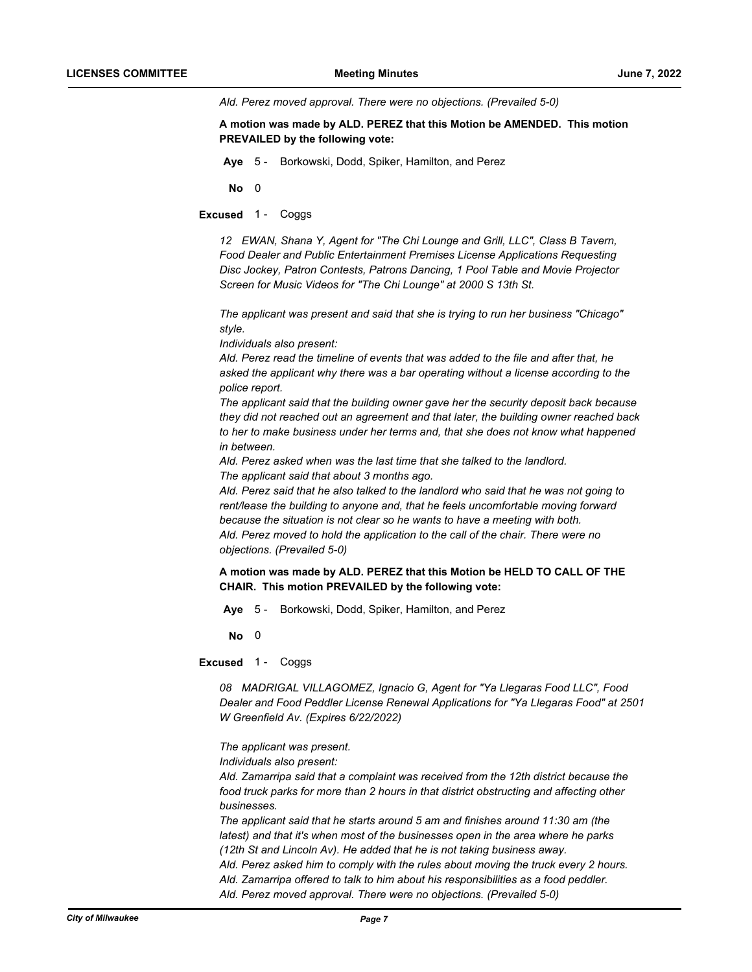*Ald. Perez moved approval. There were no objections. (Prevailed 5-0)*

**A motion was made by ALD. PEREZ that this Motion be AMENDED. This motion PREVAILED by the following vote:**

**Aye** 5 - Borkowski, Dodd, Spiker, Hamilton, and Perez

**No** 0

**Excused** 1 - Coggs

*12 EWAN, Shana Y, Agent for "The Chi Lounge and Grill, LLC", Class B Tavern, Food Dealer and Public Entertainment Premises License Applications Requesting Disc Jockey, Patron Contests, Patrons Dancing, 1 Pool Table and Movie Projector Screen for Music Videos for "The Chi Lounge" at 2000 S 13th St.*

*The applicant was present and said that she is trying to run her business "Chicago" style.*

*Individuals also present:*

*Ald. Perez read the timeline of events that was added to the file and after that, he asked the applicant why there was a bar operating without a license according to the police report.*

*The applicant said that the building owner gave her the security deposit back because they did not reached out an agreement and that later, the building owner reached back to her to make business under her terms and, that she does not know what happened in between.*

*Ald. Perez asked when was the last time that she talked to the landlord. The applicant said that about 3 months ago.*

*Ald. Perez said that he also talked to the landlord who said that he was not going to rent/lease the building to anyone and, that he feels uncomfortable moving forward because the situation is not clear so he wants to have a meeting with both. Ald. Perez moved to hold the application to the call of the chair. There were no objections. (Prevailed 5-0)*

**A motion was made by ALD. PEREZ that this Motion be HELD TO CALL OF THE CHAIR. This motion PREVAILED by the following vote:**

**Aye** 5 - Borkowski, Dodd, Spiker, Hamilton, and Perez

**No** 0

**Excused** 1 - Coggs

*08 MADRIGAL VILLAGOMEZ, Ignacio G, Agent for "Ya Llegaras Food LLC", Food Dealer and Food Peddler License Renewal Applications for "Ya Llegaras Food" at 2501 W Greenfield Av. (Expires 6/22/2022)*

*The applicant was present.*

*Individuals also present:*

*Ald. Zamarripa said that a complaint was received from the 12th district because the food truck parks for more than 2 hours in that district obstructing and affecting other businesses.*

*The applicant said that he starts around 5 am and finishes around 11:30 am (the latest) and that it's when most of the businesses open in the area where he parks (12th St and Lincoln Av). He added that he is not taking business away. Ald. Perez asked him to comply with the rules about moving the truck every 2 hours. Ald. Zamarripa offered to talk to him about his responsibilities as a food peddler. Ald. Perez moved approval. There were no objections. (Prevailed 5-0)*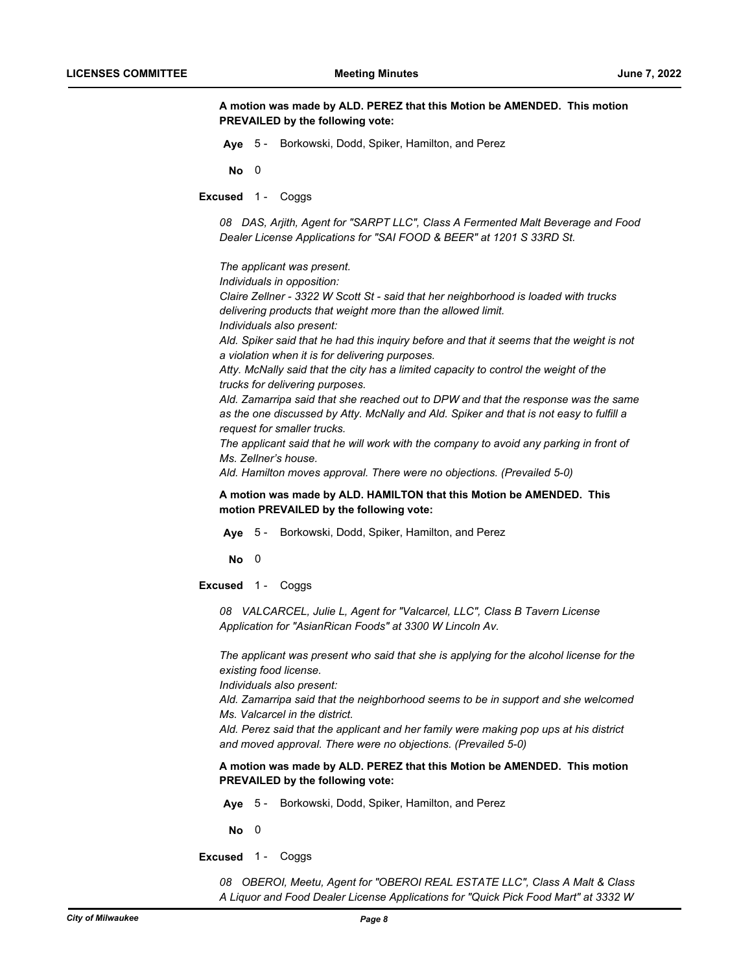**A motion was made by ALD. PEREZ that this Motion be AMENDED. This motion PREVAILED by the following vote:**

**Aye** 5 - Borkowski, Dodd, Spiker, Hamilton, and Perez

**No** 0

**Excused** 1 - Coggs

*08 DAS, Arjith, Agent for "SARPT LLC", Class A Fermented Malt Beverage and Food Dealer License Applications for "SAI FOOD & BEER" at 1201 S 33RD St.*

*The applicant was present.*

*Individuals in opposition:*

*Claire Zellner - 3322 W Scott St - said that her neighborhood is loaded with trucks delivering products that weight more than the allowed limit. Individuals also present:*

*Ald. Spiker said that he had this inquiry before and that it seems that the weight is not a violation when it is for delivering purposes.*

*Atty. McNally said that the city has a limited capacity to control the weight of the trucks for delivering purposes.*

*Ald. Zamarripa said that she reached out to DPW and that the response was the same as the one discussed by Atty. McNally and Ald. Spiker and that is not easy to fulfill a request for smaller trucks.*

The applicant said that he will work with the company to avoid any parking in front of *Ms. Zellner's house.*

*Ald. Hamilton moves approval. There were no objections. (Prevailed 5-0)*

**A motion was made by ALD. HAMILTON that this Motion be AMENDED. This motion PREVAILED by the following vote:**

**Aye** 5 - Borkowski, Dodd, Spiker, Hamilton, and Perez

**No** 0

**Excused** 1 - Coggs

*08 VALCARCEL, Julie L, Agent for "Valcarcel, LLC", Class B Tavern License Application for "AsianRican Foods" at 3300 W Lincoln Av.*

*The applicant was present who said that she is applying for the alcohol license for the existing food license.*

*Individuals also present:*

*Ald. Zamarripa said that the neighborhood seems to be in support and she welcomed Ms. Valcarcel in the district.*

*Ald. Perez said that the applicant and her family were making pop ups at his district and moved approval. There were no objections. (Prevailed 5-0)*

**A motion was made by ALD. PEREZ that this Motion be AMENDED. This motion PREVAILED by the following vote:**

**Aye** 5 - Borkowski, Dodd, Spiker, Hamilton, and Perez

**No** 0

**Excused** 1 - Coggs

*08 OBEROI, Meetu, Agent for "OBEROI REAL ESTATE LLC", Class A Malt & Class A Liquor and Food Dealer License Applications for "Quick Pick Food Mart" at 3332 W*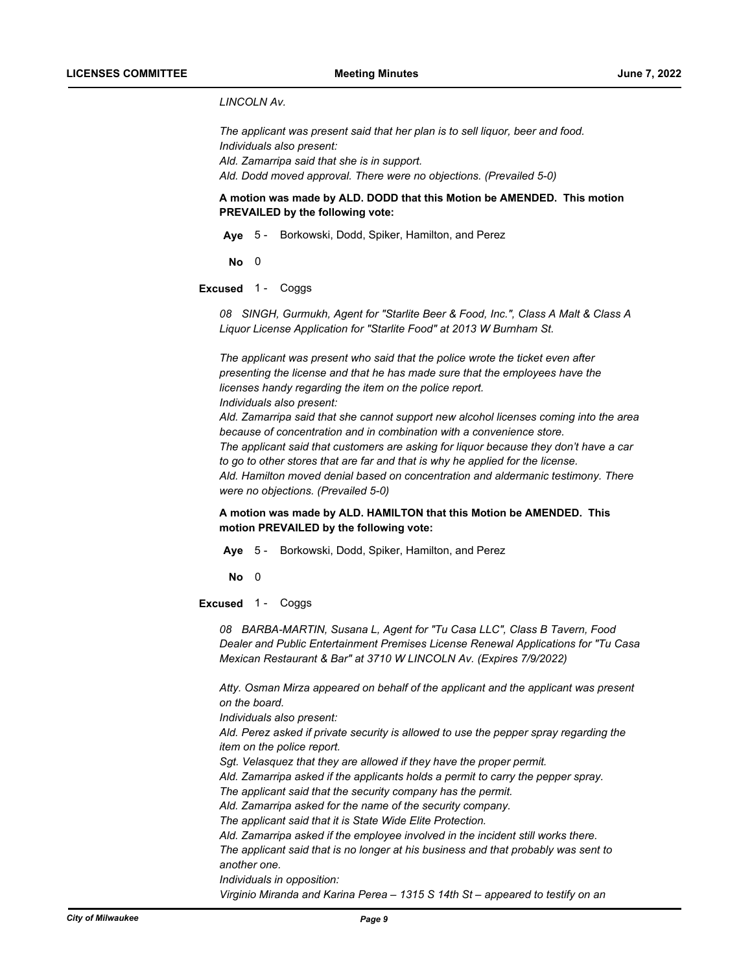## *LINCOLN Av.*

*The applicant was present said that her plan is to sell liquor, beer and food. Individuals also present: Ald. Zamarripa said that she is in support. Ald. Dodd moved approval. There were no objections. (Prevailed 5-0)*

## **A motion was made by ALD. DODD that this Motion be AMENDED. This motion PREVAILED by the following vote:**

**Aye** 5 - Borkowski, Dodd, Spiker, Hamilton, and Perez

**No** 0

### **Excused** 1 - Coggs

*08 SINGH, Gurmukh, Agent for "Starlite Beer & Food, Inc.", Class A Malt & Class A Liquor License Application for "Starlite Food" at 2013 W Burnham St.*

*The applicant was present who said that the police wrote the ticket even after presenting the license and that he has made sure that the employees have the licenses handy regarding the item on the police report. Individuals also present:*

*Ald. Zamarripa said that she cannot support new alcohol licenses coming into the area because of concentration and in combination with a convenience store. The applicant said that customers are asking for liquor because they don't have a car to go to other stores that are far and that is why he applied for the license. Ald. Hamilton moved denial based on concentration and aldermanic testimony. There were no objections. (Prevailed 5-0)*

## **A motion was made by ALD. HAMILTON that this Motion be AMENDED. This motion PREVAILED by the following vote:**

**Aye** 5 - Borkowski, Dodd, Spiker, Hamilton, and Perez

**No** 0

#### **Excused** 1 - Coggs

*08 BARBA-MARTIN, Susana L, Agent for "Tu Casa LLC", Class B Tavern, Food Dealer and Public Entertainment Premises License Renewal Applications for "Tu Casa Mexican Restaurant & Bar" at 3710 W LINCOLN Av. (Expires 7/9/2022)*

*Atty. Osman Mirza appeared on behalf of the applicant and the applicant was present on the board.*

*Individuals also present:*

*Ald. Perez asked if private security is allowed to use the pepper spray regarding the item on the police report.*

- *Sgt. Velasquez that they are allowed if they have the proper permit.*
- *Ald. Zamarripa asked if the applicants holds a permit to carry the pepper spray.*

*The applicant said that the security company has the permit.*

*Ald. Zamarripa asked for the name of the security company.*

*The applicant said that it is State Wide Elite Protection.*

*Ald. Zamarripa asked if the employee involved in the incident still works there. The applicant said that is no longer at his business and that probably was sent to another one.*

*Individuals in opposition:*

*Virginio Miranda and Karina Perea – 1315 S 14th St – appeared to testify on an*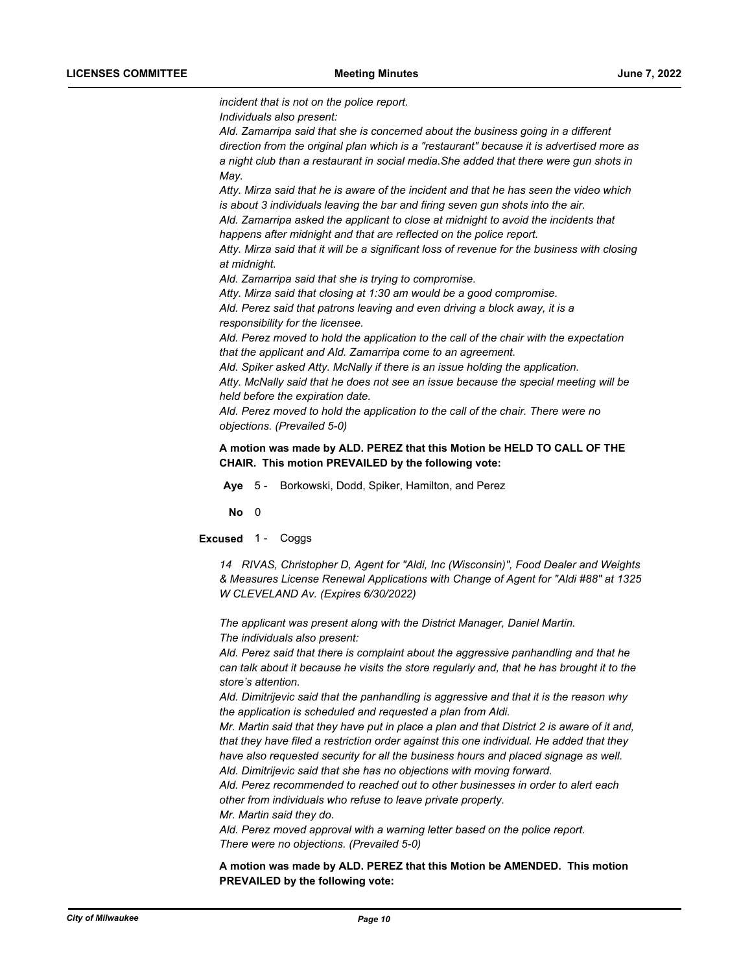*incident that is not on the police report.*

*Individuals also present:*

*Ald. Zamarripa said that she is concerned about the business going in a different direction from the original plan which is a "restaurant" because it is advertised more as a night club than a restaurant in social media.She added that there were gun shots in May.*

*Atty. Mirza said that he is aware of the incident and that he has seen the video which is about 3 individuals leaving the bar and firing seven gun shots into the air.*

*Ald. Zamarripa asked the applicant to close at midnight to avoid the incidents that happens after midnight and that are reflected on the police report.*

*Atty. Mirza said that it will be a significant loss of revenue for the business with closing at midnight.*

*Ald. Zamarripa said that she is trying to compromise.*

*Atty. Mirza said that closing at 1:30 am would be a good compromise.*

*Ald. Perez said that patrons leaving and even driving a block away, it is a responsibility for the licensee.*

*Ald. Perez moved to hold the application to the call of the chair with the expectation that the applicant and Ald. Zamarripa come to an agreement.*

*Ald. Spiker asked Atty. McNally if there is an issue holding the application.*

*Atty. McNally said that he does not see an issue because the special meeting will be held before the expiration date.*

*Ald. Perez moved to hold the application to the call of the chair. There were no objections. (Prevailed 5-0)*

**A motion was made by ALD. PEREZ that this Motion be HELD TO CALL OF THE CHAIR. This motion PREVAILED by the following vote:**

**Aye** 5 - Borkowski, Dodd, Spiker, Hamilton, and Perez

**No** 0

**Excused** 1 - Coggs

*14 RIVAS, Christopher D, Agent for "Aldi, Inc (Wisconsin)", Food Dealer and Weights & Measures License Renewal Applications with Change of Agent for "Aldi #88" at 1325 W CLEVELAND Av. (Expires 6/30/2022)*

*The applicant was present along with the District Manager, Daniel Martin. The individuals also present:*

*Ald. Perez said that there is complaint about the aggressive panhandling and that he can talk about it because he visits the store regularly and, that he has brought it to the store's attention.*

*Ald. Dimitrijevic said that the panhandling is aggressive and that it is the reason why the application is scheduled and requested a plan from Aldi.*

*Mr. Martin said that they have put in place a plan and that District 2 is aware of it and, that they have filed a restriction order against this one individual. He added that they have also requested security for all the business hours and placed signage as well. Ald. Dimitrijevic said that she has no objections with moving forward.*

*Ald. Perez recommended to reached out to other businesses in order to alert each other from individuals who refuse to leave private property.*

*Mr. Martin said they do.*

*Ald. Perez moved approval with a warning letter based on the police report. There were no objections. (Prevailed 5-0)*

**A motion was made by ALD. PEREZ that this Motion be AMENDED. This motion PREVAILED by the following vote:**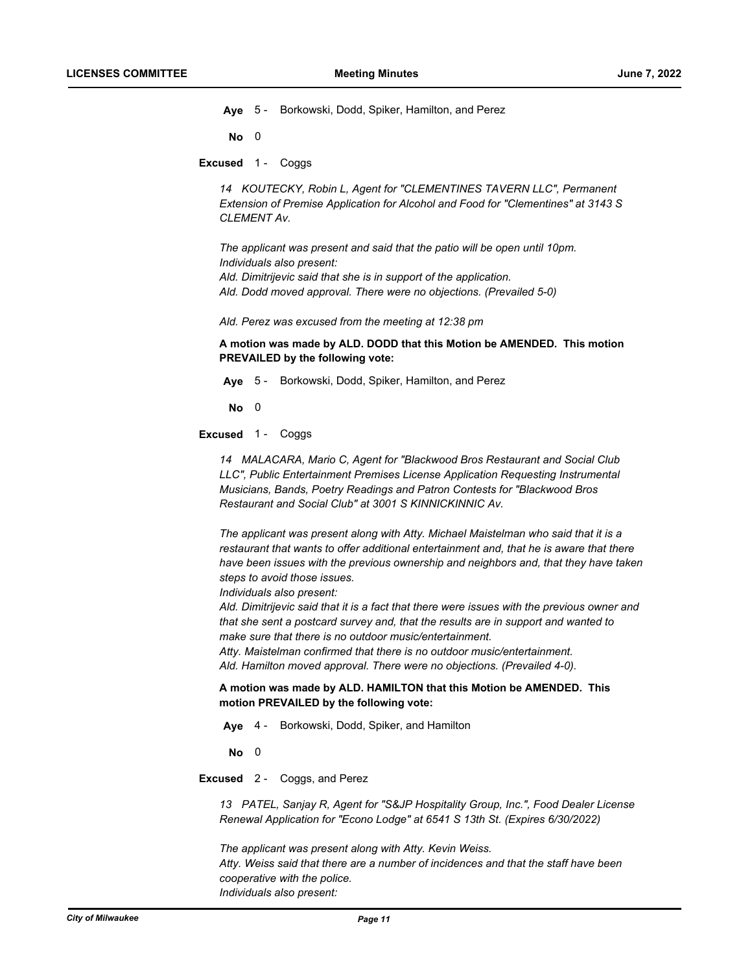**Aye** 5 - Borkowski, Dodd, Spiker, Hamilton, and Perez

**No** 0

**Excused** 1 - Coggs

*14 KOUTECKY, Robin L, Agent for "CLEMENTINES TAVERN LLC", Permanent Extension of Premise Application for Alcohol and Food for "Clementines" at 3143 S CLEMENT Av.*

*The applicant was present and said that the patio will be open until 10pm. Individuals also present: Ald. Dimitrijevic said that she is in support of the application. Ald. Dodd moved approval. There were no objections. (Prevailed 5-0)*

*Ald. Perez was excused from the meeting at 12:38 pm*

**A motion was made by ALD. DODD that this Motion be AMENDED. This motion PREVAILED by the following vote:**

**Aye** 5 - Borkowski, Dodd, Spiker, Hamilton, and Perez

**No** 0

**Excused** 1 - Coggs

*14 MALACARA, Mario C, Agent for "Blackwood Bros Restaurant and Social Club LLC", Public Entertainment Premises License Application Requesting Instrumental Musicians, Bands, Poetry Readings and Patron Contests for "Blackwood Bros Restaurant and Social Club" at 3001 S KINNICKINNIC Av.*

*The applicant was present along with Atty. Michael Maistelman who said that it is a restaurant that wants to offer additional entertainment and, that he is aware that there have been issues with the previous ownership and neighbors and, that they have taken steps to avoid those issues.*

*Individuals also present:*

*Ald. Dimitrijevic said that it is a fact that there were issues with the previous owner and that she sent a postcard survey and, that the results are in support and wanted to make sure that there is no outdoor music/entertainment.*

*Atty. Maistelman confirmed that there is no outdoor music/entertainment. Ald. Hamilton moved approval. There were no objections. (Prevailed 4-0).*

**A motion was made by ALD. HAMILTON that this Motion be AMENDED. This motion PREVAILED by the following vote:**

**Aye** 4 - Borkowski, Dodd, Spiker, and Hamilton

**No** 0

**Excused** 2 - Coggs, and Perez

*13 PATEL, Sanjay R, Agent for "S&JP Hospitality Group, Inc.", Food Dealer License Renewal Application for "Econo Lodge" at 6541 S 13th St. (Expires 6/30/2022)*

*The applicant was present along with Atty. Kevin Weiss. Atty. Weiss said that there are a number of incidences and that the staff have been cooperative with the police. Individuals also present:*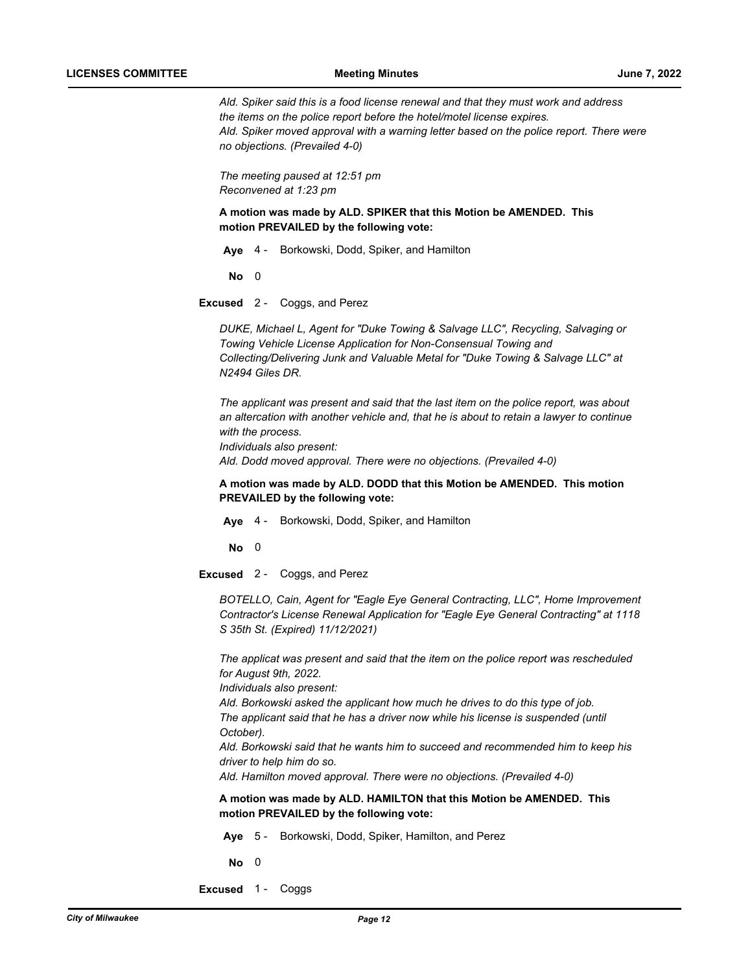*Ald. Spiker said this is a food license renewal and that they must work and address the items on the police report before the hotel/motel license expires. Ald. Spiker moved approval with a warning letter based on the police report. There were no objections. (Prevailed 4-0)*

*The meeting paused at 12:51 pm Reconvened at 1:23 pm*

**A motion was made by ALD. SPIKER that this Motion be AMENDED. This motion PREVAILED by the following vote:**

**Aye** 4 - Borkowski, Dodd, Spiker, and Hamilton

**No** 0

**Excused** 2 - Coggs, and Perez

*DUKE, Michael L, Agent for "Duke Towing & Salvage LLC", Recycling, Salvaging or Towing Vehicle License Application for Non-Consensual Towing and Collecting/Delivering Junk and Valuable Metal for "Duke Towing & Salvage LLC" at N2494 Giles DR.*

*The applicant was present and said that the last item on the police report, was about an altercation with another vehicle and, that he is about to retain a lawyer to continue with the process. Individuals also present: Ald. Dodd moved approval. There were no objections. (Prevailed 4-0)*

**A motion was made by ALD. DODD that this Motion be AMENDED. This motion PREVAILED by the following vote:**

**Aye** 4 - Borkowski, Dodd, Spiker, and Hamilton

**No** 0

**Excused** 2 - Coggs, and Perez

*BOTELLO, Cain, Agent for "Eagle Eye General Contracting, LLC", Home Improvement Contractor's License Renewal Application for "Eagle Eye General Contracting" at 1118 S 35th St. (Expired) 11/12/2021)*

*The applicat was present and said that the item on the police report was rescheduled for August 9th, 2022.*

*Individuals also present:*

*Ald. Borkowski asked the applicant how much he drives to do this type of job.* The applicant said that he has a driver now while his license is suspended (until *October).*

*Ald. Borkowski said that he wants him to succeed and recommended him to keep his driver to help him do so.*

*Ald. Hamilton moved approval. There were no objections. (Prevailed 4-0)*

**A motion was made by ALD. HAMILTON that this Motion be AMENDED. This motion PREVAILED by the following vote:**

**Aye** 5 - Borkowski, Dodd, Spiker, Hamilton, and Perez

**No** 0

**Excused** 1 - Coggs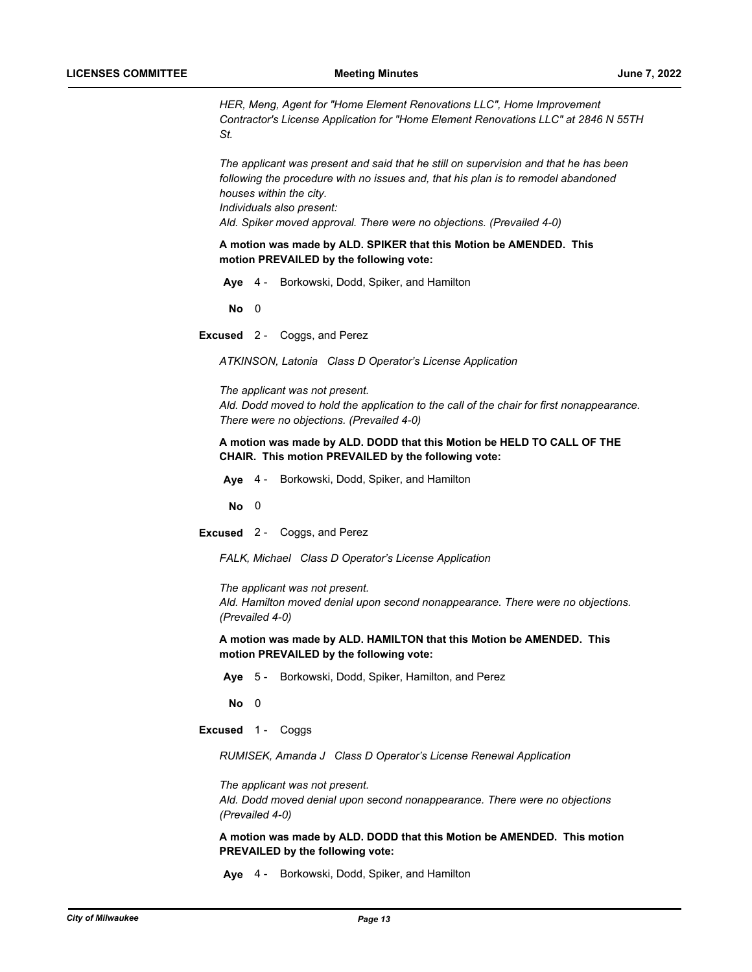*HER, Meng, Agent for "Home Element Renovations LLC", Home Improvement Contractor's License Application for "Home Element Renovations LLC" at 2846 N 55TH St.*

*The applicant was present and said that he still on supervision and that he has been following the procedure with no issues and, that his plan is to remodel abandoned houses within the city. Individuals also present: Ald. Spiker moved approval. There were no objections. (Prevailed 4-0)*

**A motion was made by ALD. SPIKER that this Motion be AMENDED. This motion PREVAILED by the following vote:**

**Aye** 4 - Borkowski, Dodd, Spiker, and Hamilton

**No** 0

**Excused** 2 - Coggs, and Perez

*ATKINSON, Latonia Class D Operator's License Application*

*The applicant was not present. Ald. Dodd moved to hold the application to the call of the chair for first nonappearance. There were no objections. (Prevailed 4-0)*

## **A motion was made by ALD. DODD that this Motion be HELD TO CALL OF THE CHAIR. This motion PREVAILED by the following vote:**

**Aye** 4 - Borkowski, Dodd, Spiker, and Hamilton

**No** 0

**Excused** 2 - Coggs, and Perez

*FALK, Michael Class D Operator's License Application*

*The applicant was not present.*

*Ald. Hamilton moved denial upon second nonappearance. There were no objections. (Prevailed 4-0)*

**A motion was made by ALD. HAMILTON that this Motion be AMENDED. This motion PREVAILED by the following vote:**

**Aye** 5 - Borkowski, Dodd, Spiker, Hamilton, and Perez

**No** 0

**Excused** 1 - Coggs

*RUMISEK, Amanda J Class D Operator's License Renewal Application*

*The applicant was not present.*

*Ald. Dodd moved denial upon second nonappearance. There were no objections (Prevailed 4-0)*

**A motion was made by ALD. DODD that this Motion be AMENDED. This motion PREVAILED by the following vote:**

**Aye** 4 - Borkowski, Dodd, Spiker, and Hamilton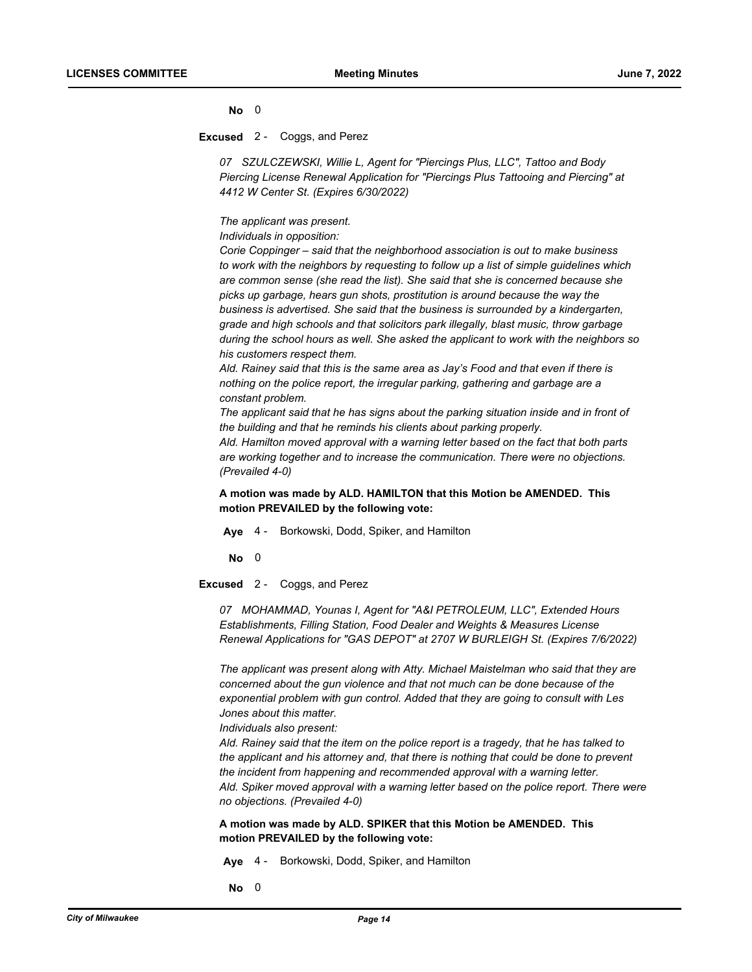#### **No** 0

#### **Excused** 2 - Coggs, and Perez

*07 SZULCZEWSKI, Willie L, Agent for "Piercings Plus, LLC", Tattoo and Body Piercing License Renewal Application for "Piercings Plus Tattooing and Piercing" at 4412 W Center St. (Expires 6/30/2022)*

*The applicant was present.*

*Individuals in opposition:* 

*Corie Coppinger – said that the neighborhood association is out to make business to work with the neighbors by requesting to follow up a list of simple guidelines which are common sense (she read the list). She said that she is concerned because she picks up garbage, hears gun shots, prostitution is around because the way the business is advertised. She said that the business is surrounded by a kindergarten, grade and high schools and that solicitors park illegally, blast music, throw garbage during the school hours as well. She asked the applicant to work with the neighbors so his customers respect them.*

*Ald. Rainey said that this is the same area as Jay's Food and that even if there is nothing on the police report, the irregular parking, gathering and garbage are a constant problem.*

*The applicant said that he has signs about the parking situation inside and in front of the building and that he reminds his clients about parking properly.*

*Ald. Hamilton moved approval with a warning letter based on the fact that both parts are working together and to increase the communication. There were no objections. (Prevailed 4-0)*

## **A motion was made by ALD. HAMILTON that this Motion be AMENDED. This motion PREVAILED by the following vote:**

**Aye** 4 - Borkowski, Dodd, Spiker, and Hamilton

**No** 0

**Excused** 2 - Coggs, and Perez

*07 MOHAMMAD, Younas I, Agent for "A&I PETROLEUM, LLC", Extended Hours Establishments, Filling Station, Food Dealer and Weights & Measures License Renewal Applications for "GAS DEPOT" at 2707 W BURLEIGH St. (Expires 7/6/2022)*

*The applicant was present along with Atty. Michael Maistelman who said that they are concerned about the gun violence and that not much can be done because of the exponential problem with gun control. Added that they are going to consult with Les Jones about this matter.*

*Individuals also present:*

*Ald. Rainey said that the item on the police report is a tragedy, that he has talked to the applicant and his attorney and, that there is nothing that could be done to prevent the incident from happening and recommended approval with a warning letter. Ald. Spiker moved approval with a warning letter based on the police report. There were no objections. (Prevailed 4-0)*

## **A motion was made by ALD. SPIKER that this Motion be AMENDED. This motion PREVAILED by the following vote:**

**Aye** 4 - Borkowski, Dodd, Spiker, and Hamilton

**No** 0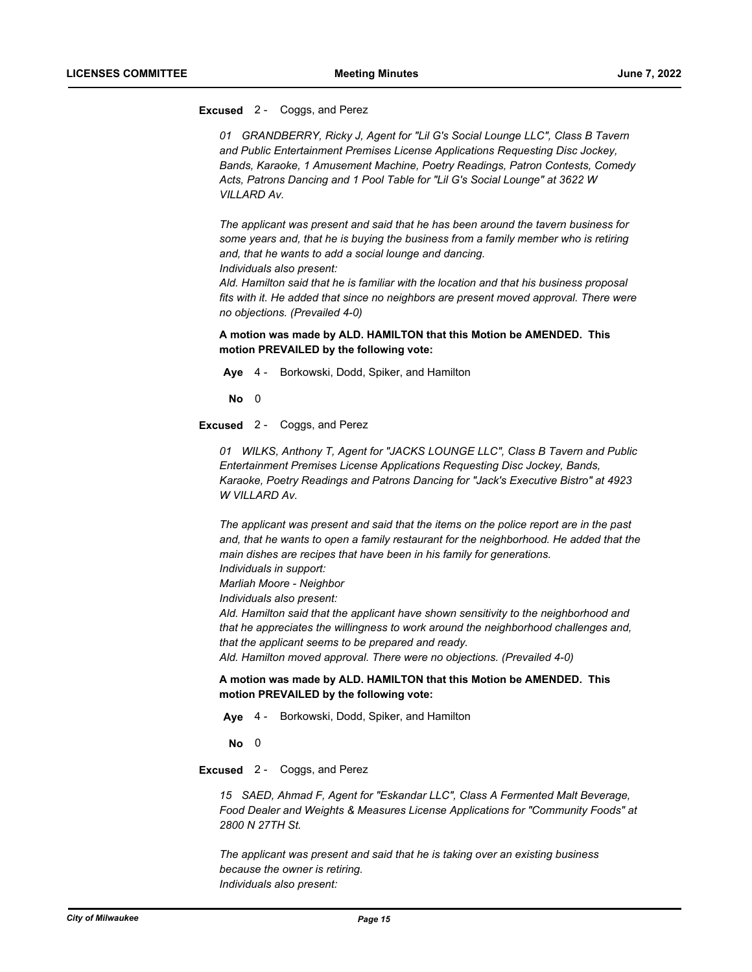### **Excused** 2 - Coggs, and Perez

*01 GRANDBERRY, Ricky J, Agent for "Lil G's Social Lounge LLC", Class B Tavern and Public Entertainment Premises License Applications Requesting Disc Jockey, Bands, Karaoke, 1 Amusement Machine, Poetry Readings, Patron Contests, Comedy Acts, Patrons Dancing and 1 Pool Table for "Lil G's Social Lounge" at 3622 W VILLARD Av.*

*The applicant was present and said that he has been around the tavern business for some years and, that he is buying the business from a family member who is retiring and, that he wants to add a social lounge and dancing. Individuals also present:*

*Ald. Hamilton said that he is familiar with the location and that his business proposal fits with it. He added that since no neighbors are present moved approval. There were no objections. (Prevailed 4-0)*

## **A motion was made by ALD. HAMILTON that this Motion be AMENDED. This motion PREVAILED by the following vote:**

**Aye** 4 - Borkowski, Dodd, Spiker, and Hamilton

**No** 0

**Excused** 2 - Coggs, and Perez

*01 WILKS, Anthony T, Agent for "JACKS LOUNGE LLC", Class B Tavern and Public Entertainment Premises License Applications Requesting Disc Jockey, Bands, Karaoke, Poetry Readings and Patrons Dancing for "Jack's Executive Bistro" at 4923 W VILLARD Av.*

*The applicant was present and said that the items on the police report are in the past*  and, that he wants to open a family restaurant for the neighborhood. He added that the *main dishes are recipes that have been in his family for generations. Individuals in support:*

*Marliah Moore - Neighbor*

*Individuals also present:*

*Ald. Hamilton said that the applicant have shown sensitivity to the neighborhood and that he appreciates the willingness to work around the neighborhood challenges and, that the applicant seems to be prepared and ready.*

*Ald. Hamilton moved approval. There were no objections. (Prevailed 4-0)*

#### **A motion was made by ALD. HAMILTON that this Motion be AMENDED. This motion PREVAILED by the following vote:**

**Aye** 4 - Borkowski, Dodd, Spiker, and Hamilton

**No** 0

**Excused** 2 - Coggs, and Perez

*15 SAED, Ahmad F, Agent for "Eskandar LLC", Class A Fermented Malt Beverage, Food Dealer and Weights & Measures License Applications for "Community Foods" at 2800 N 27TH St.*

*The applicant was present and said that he is taking over an existing business because the owner is retiring. Individuals also present:*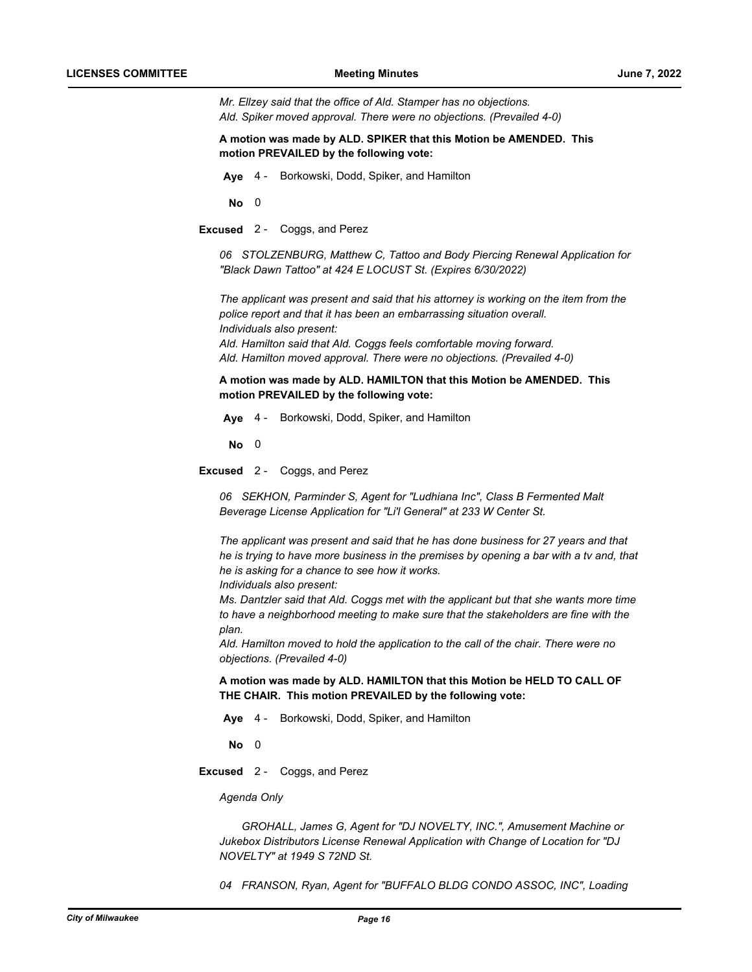*Mr. Ellzey said that the office of Ald. Stamper has no objections. Ald. Spiker moved approval. There were no objections. (Prevailed 4-0)*

**A motion was made by ALD. SPIKER that this Motion be AMENDED. This motion PREVAILED by the following vote:**

**Aye** 4 - Borkowski, Dodd, Spiker, and Hamilton

**No** 0

**Excused** 2 - Coggs, and Perez

*06 STOLZENBURG, Matthew C, Tattoo and Body Piercing Renewal Application for "Black Dawn Tattoo" at 424 E LOCUST St. (Expires 6/30/2022)*

*The applicant was present and said that his attorney is working on the item from the police report and that it has been an embarrassing situation overall. Individuals also present: Ald. Hamilton said that Ald. Coggs feels comfortable moving forward. Ald. Hamilton moved approval. There were no objections. (Prevailed 4-0)*

**A motion was made by ALD. HAMILTON that this Motion be AMENDED. This motion PREVAILED by the following vote:**

**Aye** 4 - Borkowski, Dodd, Spiker, and Hamilton

**No** 0

**Excused** 2 - Coggs, and Perez

*06 SEKHON, Parminder S, Agent for "Ludhiana Inc", Class B Fermented Malt Beverage License Application for "Li'l General" at 233 W Center St.*

*The applicant was present and said that he has done business for 27 years and that he is trying to have more business in the premises by opening a bar with a tv and, that he is asking for a chance to see how it works.*

*Individuals also present:*

*Ms. Dantzler said that Ald. Coggs met with the applicant but that she wants more time to have a neighborhood meeting to make sure that the stakeholders are fine with the plan.*

*Ald. Hamilton moved to hold the application to the call of the chair. There were no objections. (Prevailed 4-0)*

**A motion was made by ALD. HAMILTON that this Motion be HELD TO CALL OF THE CHAIR. This motion PREVAILED by the following vote:**

**Aye** 4 - Borkowski, Dodd, Spiker, and Hamilton

**No** 0

**Excused** 2 - Coggs, and Perez

*Agenda Only*

*GROHALL, James G, Agent for "DJ NOVELTY, INC.", Amusement Machine or Jukebox Distributors License Renewal Application with Change of Location for "DJ NOVELTY" at 1949 S 72ND St.*

*04 FRANSON, Ryan, Agent for "BUFFALO BLDG CONDO ASSOC, INC", Loading*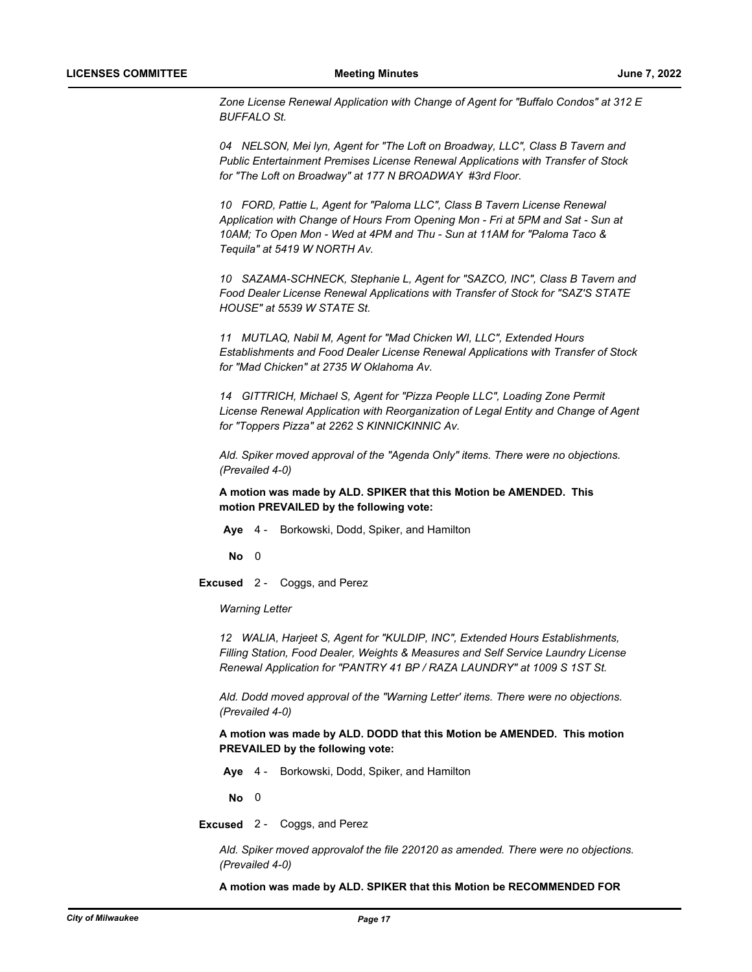*Zone License Renewal Application with Change of Agent for "Buffalo Condos" at 312 E BUFFALO St.*

*04 NELSON, Mei lyn, Agent for "The Loft on Broadway, LLC", Class B Tavern and Public Entertainment Premises License Renewal Applications with Transfer of Stock for "The Loft on Broadway" at 177 N BROADWAY #3rd Floor.* 

*10 FORD, Pattie L, Agent for "Paloma LLC", Class B Tavern License Renewal Application with Change of Hours From Opening Mon - Fri at 5PM and Sat - Sun at 10AM; To Open Mon - Wed at 4PM and Thu - Sun at 11AM for "Paloma Taco & Tequila" at 5419 W NORTH Av.* 

*10 SAZAMA-SCHNECK, Stephanie L, Agent for "SAZCO, INC", Class B Tavern and Food Dealer License Renewal Applications with Transfer of Stock for "SAZ'S STATE HOUSE" at 5539 W STATE St.*

*11 MUTLAQ, Nabil M, Agent for "Mad Chicken WI, LLC", Extended Hours Establishments and Food Dealer License Renewal Applications with Transfer of Stock for "Mad Chicken" at 2735 W Oklahoma Av.* 

*14 GITTRICH, Michael S, Agent for "Pizza People LLC", Loading Zone Permit License Renewal Application with Reorganization of Legal Entity and Change of Agent for "Toppers Pizza" at 2262 S KINNICKINNIC Av.* 

*Ald. Spiker moved approval of the "Agenda Only" items. There were no objections. (Prevailed 4-0)*

**A motion was made by ALD. SPIKER that this Motion be AMENDED. This motion PREVAILED by the following vote:**

**Aye** 4 - Borkowski, Dodd, Spiker, and Hamilton

**No** 0

**Excused** 2 - Coggs, and Perez

*Warning Letter*

*12 WALIA, Harjeet S, Agent for "KULDIP, INC", Extended Hours Establishments, Filling Station, Food Dealer, Weights & Measures and Self Service Laundry License Renewal Application for "PANTRY 41 BP / RAZA LAUNDRY" at 1009 S 1ST St.* 

*Ald. Dodd moved approval of the "Warning Letter' items. There were no objections. (Prevailed 4-0)*

**A motion was made by ALD. DODD that this Motion be AMENDED. This motion PREVAILED by the following vote:**

**Aye** 4 - Borkowski, Dodd, Spiker, and Hamilton

**No** 0

**Excused** 2 - Coggs, and Perez

*Ald. Spiker moved approvalof the file 220120 as amended. There were no objections. (Prevailed 4-0)*

**A motion was made by ALD. SPIKER that this Motion be RECOMMENDED FOR**